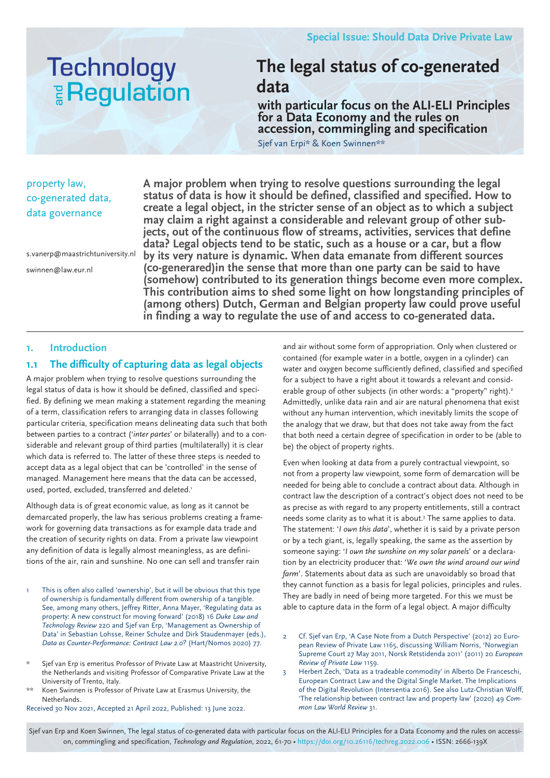# **Technology E** Regulation

## **The legal status of co-generated data**

**with particular focus on the ALI-ELI Principles for a Data Economy and the rules on accession, commingling and specification**

Sjef van Erpi\* & Koen Swinnen\*\*

## property law, co-generated data, data governance

s.vanerp@maastrichtuniversity.nl swinnen@law.eur.nl

**A major problem when trying to resolve questions surrounding the legal status of data is how it should be defined, classified and specified. How to create a legal object, in the stricter sense of an object as to which a subject may claim a right against a considerable and relevant group of other subjects, out of the continuous flow of streams, activities, services that define data? Legal objects tend to be static, such as a house or a car, but a flow by its very nature is dynamic. When data emanate from different sources (co-generared)in the sense that more than one party can be said to have (somehow) contributed to its generation things become even more complex. This contribution aims to shed some light on how longstanding principles of (among others) Dutch, German and Belgian property law could prove useful in finding a way to regulate the use of and access to co-generated data.** 

## **1. Introduction**

## **1.1 The difficulty of capturing data as legal objects**

A major problem when trying to resolve questions surrounding the legal status of data is how it should be defined, classified and specified. By defining we mean making a statement regarding the meaning of a term, classification refers to arranging data in classes following particular criteria, specification means delineating data such that both between parties to a contract ('*inter partes*' or bilaterally) and to a considerable and relevant group of third parties (multilaterally) it is clear which data is referred to. The latter of these three steps is needed to accept data as a legal object that can be 'controlled' in the sense of managed. Management here means that the data can be accessed, used, ported, excluded, transferred and deleted.<sup>1</sup>

Although data is of great economic value, as long as it cannot be demarcated properly, the law has serious problems creating a framework for governing data transactions as for example data trade and the creation of security rights on data. From a private law viewpoint any definition of data is legally almost meaningless, as are definitions of the air, rain and sunshine. No one can sell and transfer rain

- This is often also called 'ownership', but it will be obvious that this type of ownership is fundamentally different from ownership of a tangible. See, among many others, Jeffrey Ritter, Anna Mayer, 'Regulating data as property: A new construct for moving forward' (2018) 16 *Duke Law and Technology Review* 220 and Sjef van Erp, 'Management as Ownership of Data' in Sebastian Lohsse, Reiner Schulze and Dirk Staudenmayer (eds.), *Data as Counter-Performance: Contract Law 2.0?* (Hart/Nomos 2020) 77.
- Sjef van Erp is emeritus Professor of Private Law at Maastricht University, the Netherlands and visiting Professor of Comparative Private Law at the University of Trento, Italy.
- Koen Swinnen is Professor of Private Law at Erasmus University, the Netherlands.

Received 30 Nov 2021, Accepted 21 April 2022, Published: 13 June 2022.

and air without some form of appropriation. Only when clustered or contained (for example water in a bottle, oxygen in a cylinder) can water and oxygen become sufficiently defined, classified and specified for a subject to have a right about it towards a relevant and considerable group of other subjects (in other words: a "property" right).<sup>2</sup> Admittedly, unlike data rain and air are natural phenomena that exist without any human intervention, which inevitably limits the scope of the analogy that we draw, but that does not take away from the fact that both need a certain degree of specification in order to be (able to be) the object of property rights.

Even when looking at data from a purely contractual viewpoint, so not from a property law viewpoint, some form of demarcation will be needed for being able to conclude a contract about data. Although in contract law the description of a contract's object does not need to be as precise as with regard to any property entitlements, still a contract needs some clarity as to what it is about.<sup>3</sup> The same applies to data. The statement: '*I own this data*', whether it is said by a private person or by a tech giant, is, legally speaking, the same as the assertion by someone saying: '*I own the sunshine on my solar panels*' or a declaration by an electricity producer that: '*We own the wind around our wind farm*'. Statements about data as such are unavoidably so broad that they cannot function as a basis for legal policies, principles and rules. They are badly in need of being more targeted. For this we must be able to capture data in the form of a legal object. A major difficulty

- 2 Cf. Sjef van Erp, 'A Case Note from a Dutch Perspective' (2012) 20 European Review of Private Law 1165, discussing William Norris, 'Norwegian Supreme Court 27 May 2011, Norsk Retstidenda 2011' (2011) 20 *European Review of Private Law* 1159.
- Herbert Zech, 'Data as a tradeable commodity' in Alberto De Franceschi, European Contract Law and the Digital Single Market. The Implications of the Digital Revolution (Intersentia 2016). See also Lutz-Christian Wolff, 'The relationship between contract law and property law' (2020) 49 *Common Law World Review* 31.

Sjef van Erp and Koen Swinnen, The legal status of co-generated data with particular focus on the ALI-ELI Principles for a Data Economy and the rules on accession, commingling and specification, *Technology and Regulation*, 2022, 61-70 • https://doi.org/10.26116/techreg.2022.006 • ISSN: 2666-139X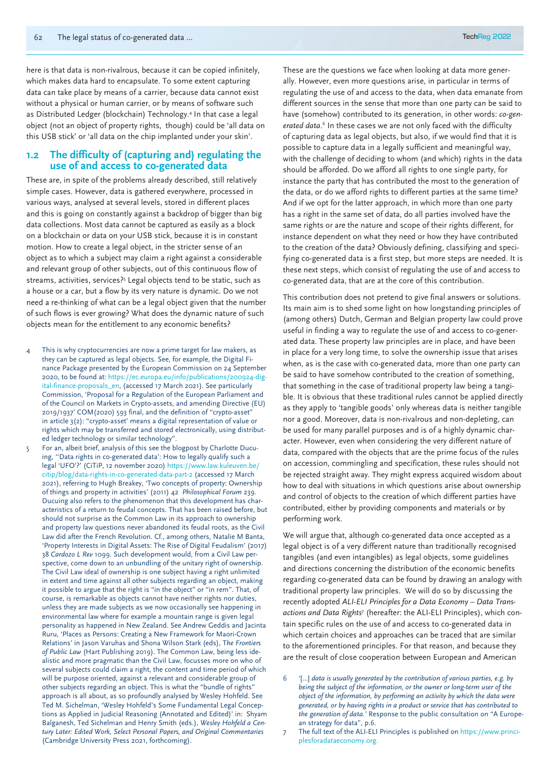here is that data is non-rivalrous, because it can be copied infinitely, which makes data hard to encapsulate. To some extent capturing data can take place by means of a carrier, because data cannot exist without a physical or human carrier, or by means of software such as Distributed Ledger (blockchain) Technology.4 In that case a legal object (not an object of property rights, though) could be 'all data on this USB stick' or 'all data on the chip implanted under your skin'.

#### **1.2 The difficulty of (capturing and) regulating the use of and access to co-generated data**

These are, in spite of the problems already described, still relatively simple cases. However, data is gathered everywhere, processed in various ways, analysed at several levels, stored in different places and this is going on constantly against a backdrop of bigger than big data collections. Most data cannot be captured as easily as a block on a blockchain or data on your USB stick, because it is in constant motion. How to create a legal object, in the stricter sense of an object as to which a subject may claim a right against a considerable and relevant group of other subjects, out of this continuous flow of streams, activities, services?<sup>5</sup> Legal objects tend to be static, such as a house or a car, but a flow by its very nature is dynamic. Do we not need a re-thinking of what can be a legal object given that the number of such flows is ever growing? What does the dynamic nature of such objects mean for the entitlement to any economic benefits?

- This is why cryptocurrencies are now a prime target for law makers, as they can be captured as legal objects. See, for example, the Digital Finance Package presented by the European Commission on 24 September 2020, to be found at: https://ec.europa.eu/info/publications/200924-digital-finance-proposals\_en, (accessed 17 March 2021). See particularly Commission, 'Proposal for a Regulation of the European Parliament and of the Council on Markets in Crypto-assets, and amending Directive (EU) 2019/1937' COM(2020) 593 final, and the definition of "crypto-asset" in article 3(2): "crypto-asset' means a digital representation of value or rights which may be transferred and stored electronically, using distributed ledger technology or similar technology".
- 5 For an, albeit brief, analysis of this see the blogpost by Charlotte Ducuing, ''Data rights in co-generated data': How to legally qualify such a legal 'UFO'?' (CiTiP, 12 november 2020) https://www.law.kuleuven.be/ citip/blog/data-rights-in-co-generated-data-part-2 (accessed 17 March 2021), referring to Hugh Breakey, 'Two concepts of property: Ownership of things and property in activities' (2011) 42 *Philosophical Forum* 239. Ducuing also refers to the phenomenon that this development has characteristics of a return to feudal concepts. That has been raised before, but should not surprise as the Common Law in its approach to ownership and property law questions never abandoned its feudal roots, as the Civil Law did after the French Revolution. Cf., among others, Natalie M Banta, 'Property Interests in Digital Assets: The Rise of Digital Feudalism' (2017) 38 *Cardozo L Rev* 1099. Such development would, from a Civil Law perspective, come down to an unbundling of the unitary right of ownership. The Civil Law ideal of ownership is one subject having a right unlimited in extent and time against all other subjects regarding an object, making it possible to argue that the right is "in the object" or "in rem". That, of course, is remarkable as objects cannot have neither rights nor duties, unless they are made subjects as we now occasionally see happening in environmental law where for example a mountain range is given legal personality as happened in New Zealand. See Andrew Geddis and Jacinta Ruru, 'Places as Persons: Creating a New Framework for Maori-Crown Relations' in Jason Varuhas and Shona Wilson Stark (eds), T*he Frontiers of Public Law* (Hart Publishing 2019). The Common Law, being less idealistic and more pragmatic than the Civil Law, focusses more on who of several subjects could claim a right, the content and time period of which will be purpose oriented, against a relevant and considerable group of other subjects regarding an object. This is what the "bundle of rights" approach is all about, as so profoundly analysed by Wesley Hohfeld. See Ted M. Sichelman, 'Wesley Hohfeld's Some Fundamental Legal Conceptions as Applied in Judicial Reasoning (Annotated and Edited)' in: Shyam Balganesh, Ted Sichelman and Henry Smith (eds.), *Wesley Hohfeld a Century Later: Edited Work, Select Personal Papers, and Original Commentaries* (Cambridge University Press 2021, forthcoming).

These are the questions we face when looking at data more generally. However, even more questions arise, in particular in terms of regulating the use of and access to the data, when data emanate from different sources in the sense that more than one party can be said to have (somehow) contributed to its generation, in other words: *co-gen*erated data.<sup>6</sup> In these cases we are not only faced with the difficulty of capturing data as legal objects, but also, if we would find that it is possible to capture data in a legally sufficient and meaningful way, with the challenge of deciding to whom (and which) rights in the data should be afforded. Do we afford all rights to one single party, for instance the party that has contributed the most to the generation of the data, or do we afford rights to different parties at the same time? And if we opt for the latter approach, in which more than one party has a right in the same set of data, do all parties involved have the same rights or are the nature and scope of their rights different, for instance dependent on what they need or how they have contributed to the creation of the data? Obviously defining, classifying and specifying co-generated data is a first step, but more steps are needed. It is these next steps, which consist of regulating the use of and access to co-generated data, that are at the core of this contribution.

This contribution does not pretend to give final answers or solutions. Its main aim is to shed some light on how longstanding principles of (among others) Dutch, German and Belgian property law could prove useful in finding a way to regulate the use of and access to co-generated data. These property law principles are in place, and have been in place for a very long time, to solve the ownership issue that arises when, as is the case with co-generated data, more than one party can be said to have somehow contributed to the creation of something, that something in the case of traditional property law being a tangible. It is obvious that these traditional rules cannot be applied directly as they apply to 'tangible goods' only whereas data is neither tangible nor a good. Moreover, data is non-rivalrous and non-depleting, can be used for many parallel purposes and is of a highly dynamic character. However, even when considering the very different nature of data, compared with the objects that are the prime focus of the rules on accession, commingling and specification, these rules should not be rejected straight away. They might express acquired wisdom about how to deal with situations in which questions arise about ownership and control of objects to the creation of which different parties have contributed, either by providing components and materials or by performing work.

We will argue that, although co-generated data once accepted as a legal object is of a very different nature than traditionally recognised tangibles (and even intangibles) as legal objects, some guidelines and directions concerning the distribution of the economic benefits regarding co-generated data can be found by drawing an analogy with traditional property law principles. We will do so by discussing the recently adopted *ALI-ELI Principles for a Data Economy – Data Transactions and Data Rights*<sup>7</sup> (hereafter: the ALI-ELI Principles), which contain specific rules on the use of and access to co-generated data in which certain choices and approaches can be traced that are similar to the aforementioned principles. For that reason, and because they are the result of close cooperation between European and American

- 6 '[…] *data is usually generated by the contribution of various parties, e.g. by being the subject of the information, or the owner or long-term user of the object of the information, by performing an activity by which the data were generated, or by having rights in a product or service that has contributed to the generation of data.'* Response to the public consultation on "A European strategy for data", p.6.
- 7 The full text of the ALI-ELI Principles is published on https://www.principlesforadataeconomy.org.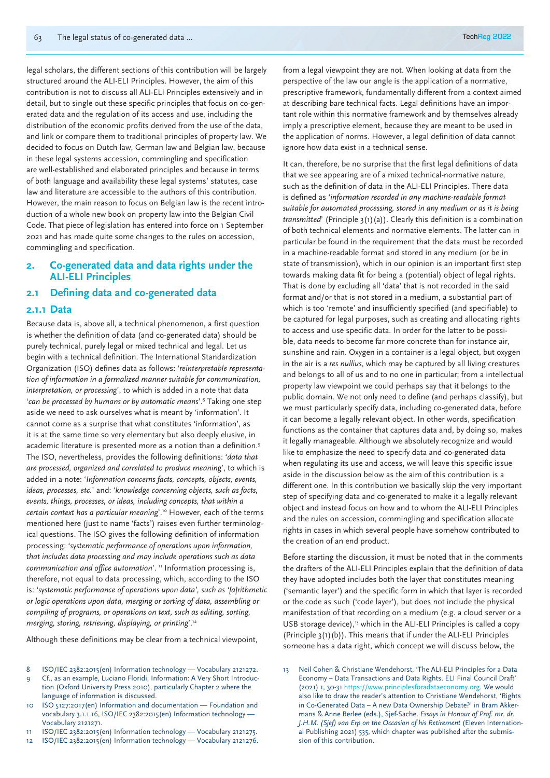legal scholars, the different sections of this contribution will be largely structured around the ALI-ELI Principles. However, the aim of this contribution is not to discuss all ALI-ELI Principles extensively and in detail, but to single out these specific principles that focus on co-generated data and the regulation of its access and use, including the distribution of the economic profits derived from the use of the data, and link or compare them to traditional principles of property law. We decided to focus on Dutch law, German law and Belgian law, because in these legal systems accession, commingling and specification are well-established and elaborated principles and because in terms of both language and availability these legal systems' statutes, case law and literature are accessible to the authors of this contribution. However, the main reason to focus on Belgian law is the recent introduction of a whole new book on property law into the Belgian Civil Code. That piece of legislation has entered into force on 1 September 2021 and has made quite some changes to the rules on accession, commingling and specification.

## **2. Co-generated data and data rights under the ALI-ELI Principles**

#### **2.1 Defining data and co-generated data**

#### **2.1.1 Data**

Because data is, above all, a technical phenomenon, a first question is whether the definition of data (and co-generated data) should be purely technical, purely legal or mixed technical and legal. Let us begin with a technical definition. The International Standardization Organization (ISO) defines data as follows: '*reinterpretable representation of information in a formalized manner suitable for communication, interpretation, or processing*', to which is added in a note that data '*can be processed by humans or by automatic means*'. 8 Taking one step aside we need to ask ourselves what is meant by 'information'. It cannot come as a surprise that what constitutes 'information', as it is at the same time so very elementary but also deeply elusive, in academic literature is presented more as a notion than a definition.9 The ISO, nevertheless, provides the following definitions: '*data that are processed, organized and correlated to produce meaning*', to which is added in a note: '*Information concerns facts, concepts, objects, events, ideas, processes, etc.*' and: '*knowledge concerning objects, such as facts, events, things, processes, or ideas, including concepts, that within a certain context has a particular meaning*'.10 However, each of the terms mentioned here (just to name 'facts') raises even further terminological questions. The ISO gives the following definition of information processing: '*systematic performance of operations upon information, that includes data processing and may include operations such as data communication and office automation*'. "Information processing is, therefore, not equal to data processing, which, according to the ISO is: '*systematic performance of operations upon data', such as '[a]rithmetic or logic operations upon data, merging or sorting of data, assembling or compiling of programs, or operations on text, such as editing, sorting, merging, storing, retrieving, displaying, or printing*'.12

Although these definitions may be clear from a technical viewpoint,

- 8 ISO/IEC 2382:2015(en) Information technology Vocabulary 2121272.
- Cf., as an example, Luciano Floridi, Information: A Very Short Introduction (Oxford University Press 2010), particularly Chapter 2 where the language of information is discussed.
- 10 ISO 5127:2017(en) Information and documentation Foundation and vocabulary 3.1.1.16, ISO/IEC 2382:2015(en) Information technology — Vocabulary 2121271.
- 11 ISO/IEC 2382:2015(en) Information technology Vocabulary 2121275.
- 12 ISO/IEC 2382:2015(en) Information technology Vocabulary 2121276.

from a legal viewpoint they are not. When looking at data from the perspective of the law our angle is the application of a normative, prescriptive framework, fundamentally different from a context aimed at describing bare technical facts. Legal definitions have an important role within this normative framework and by themselves already imply a prescriptive element, because they are meant to be used in the application of norms. However, a legal definition of data cannot ignore how data exist in a technical sense.

It can, therefore, be no surprise that the first legal definitions of data that we see appearing are of a mixed technical-normative nature, such as the definition of data in the ALI-ELI Principles. There data is defined as '*information recorded in any machine-readable format suitable for automated processing, stored in any medium or as it is being transmitted*' (Principle 3(1)(a)). Clearly this definition is a combination of both technical elements and normative elements. The latter can in particular be found in the requirement that the data must be recorded in a machine-readable format and stored in any medium (or be in state of transmission), which in our opinion is an important first step towards making data fit for being a (potential) object of legal rights. That is done by excluding all 'data' that is not recorded in the said format and/or that is not stored in a medium, a substantial part of which is too 'remote' and insufficiently specified (and specifiable) to be captured for legal purposes, such as creating and allocating rights to access and use specific data. In order for the latter to be possible, data needs to become far more concrete than for instance air, sunshine and rain. Oxygen in a container is a legal object, but oxygen in the air is a *res nullius*, which may be captured by all living creatures and belongs to all of us and to no one in particular; from a intellectual property law viewpoint we could perhaps say that it belongs to the public domain. We not only need to define (and perhaps classify), but we must particularly specify data, including co-generated data, before it can become a legally relevant object. In other words, specification functions as the container that captures data and, by doing so, makes it legally manageable. Although we absolutely recognize and would like to emphasize the need to specify data and co-generated data when regulating its use and access, we will leave this specific issue aside in the discussion below as the aim of this contribution is a different one. In this contribution we basically skip the very important step of specifying data and co-generated to make it a legally relevant object and instead focus on how and to whom the ALI-ELI Principles and the rules on accession, commingling and specification allocate rights in cases in which several people have somehow contributed to the creation of an end product.

Before starting the discussion, it must be noted that in the comments the drafters of the ALI-ELI Principles explain that the definition of data they have adopted includes both the layer that constitutes meaning ('semantic layer') and the specific form in which that layer is recorded or the code as such ('code layer'), but does not include the physical manifestation of that recording on a medium (e.g. a cloud server or a USB storage device),<sup>13</sup> which in the ALI-ELI Principles is called a copy (Principle 3(1)(b)). This means that if under the ALI-ELI Principles someone has a data right, which concept we will discuss below, the

<sup>13</sup> Neil Cohen & Christiane Wendehorst, 'The ALI-ELI Principles for a Data Economy – Data Transactions and Data Rights. ELI Final Council Draft' (2021) 1, 30-31 https://www.principlesforadataeconomy.org. We would also like to draw the reader's attention to Christiane Wendehorst, 'Rights in Co-Generated Data – A new Data Ownership Debate?' in Bram Akkermans & Anne Berlee (eds.), Sjef-Sache. *Essays in Honour of Prof. mr. dr. J.H.M. (Sjef) van Erp on the Occasion of his Retirement* (Eleven International Publishing 2021) 535, which chapter was published after the submission of this contribution.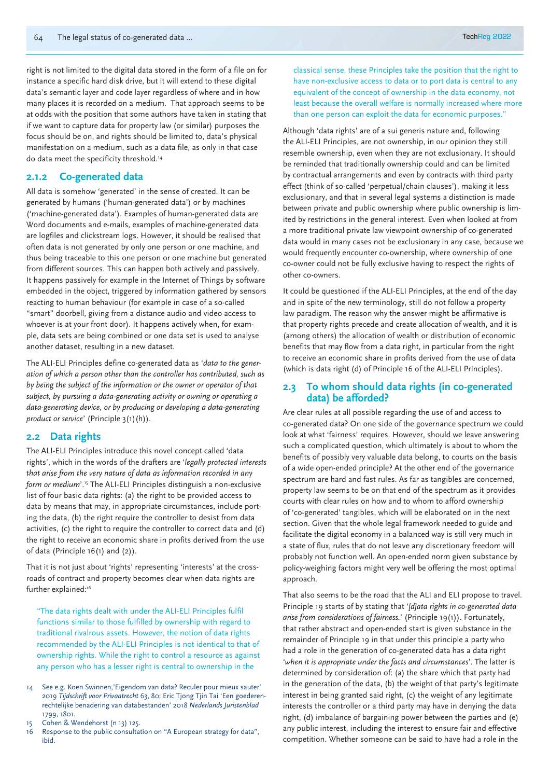right is not limited to the digital data stored in the form of a file on for instance a specific hard disk drive, but it will extend to these digital data's semantic layer and code layer regardless of where and in how many places it is recorded on a medium. That approach seems to be at odds with the position that some authors have taken in stating that if we want to capture data for property law (or similar) purposes the focus should be on, and rights should be limited to, data's physical manifestation on a medium, such as a data file, as only in that case do data meet the specificity threshold.<sup>14</sup>

## **2.1.2 Co-generated data**

All data is somehow 'generated' in the sense of created. It can be generated by humans ('human-generated data') or by machines ('machine-generated data'). Examples of human-generated data are Word documents and e-mails, examples of machine-generated data are logfiles and clickstream logs. However, it should be realised that often data is not generated by only one person or one machine, and thus being traceable to this one person or one machine but generated from different sources. This can happen both actively and passively. It happens passively for example in the Internet of Things by software embedded in the object, triggered by information gathered by sensors reacting to human behaviour (for example in case of a so-called "smart" doorbell, giving from a distance audio and video access to whoever is at your front door). It happens actively when, for example, data sets are being combined or one data set is used to analyse another dataset, resulting in a new dataset.

The ALI-ELI Principles define co-generated data as '*data to the generation of which a person other than the controller has contributed, such as by being the subject of the information or the owner or operator of that subject, by pursuing a data-generating activity or owning or operating a data-generating device, or by producing or developing a data-generating product or service*' (Principle 3(1)(h)).

## **2.2 Data rights**

The ALI-ELI Principles introduce this novel concept called 'data rights', which in the words of the drafters are '*legally protected interests that arise from the very nature of data as information recorded in any form or medium*'.15 The ALI-ELI Principles distinguish a non-exclusive list of four basic data rights: (a) the right to be provided access to data by means that may, in appropriate circumstances, include porting the data, (b) the right require the controller to desist from data activities, (c) the right to require the controller to correct data and (d) the right to receive an economic share in profits derived from the use of data (Principle 16(1) and (2)).

That it is not just about 'rights' representing 'interests' at the crossroads of contract and property becomes clear when data rights are further explained:<sup>16</sup>

"The data rights dealt with under the ALI-ELI Principles fulfil functions similar to those fulfilled by ownership with regard to traditional rivalrous assets. However, the notion of data rights recommended by the ALI-ELI Principles is not identical to that of ownership rights. While the right to control a resource as against any person who has a lesser right is central to ownership in the

- 14 See e.g. Koen Swinnen,'Eigendom van data? Reculer pour mieux sauter' 2019 *Tijdschrift voor Privaatrecht* 63, 80; Eric Tjong Tjin Tai 'Een goederenrechtelijke benadering van databestanden' 2018 *Nederlands Juristenblad* 1799, 1801.
- 15 Cohen & Wendehorst (n 13) 125.
- 16 Response to the public consultation on "A European strategy for data", ibid.

classical sense, these Principles take the position that the right to have non-exclusive access to data or to port data is central to any equivalent of the concept of ownership in the data economy, not least because the overall welfare is normally increased where more than one person can exploit the data for economic purposes."

Although 'data rights' are of a sui generis nature and, following the ALI-ELI Principles, are not ownership, in our opinion they still resemble ownership, even when they are not exclusionary. It should be reminded that traditionally ownership could and can be limited by contractual arrangements and even by contracts with third party effect (think of so-called 'perpetual/chain clauses'), making it less exclusionary, and that in several legal systems a distinction is made between private and public ownership where public ownership is limited by restrictions in the general interest. Even when looked at from a more traditional private law viewpoint ownership of co-generated data would in many cases not be exclusionary in any case, because we would frequently encounter co-ownership, where ownership of one co-owner could not be fully exclusive having to respect the rights of other co-owners.

It could be questioned if the ALI-ELI Principles, at the end of the day and in spite of the new terminology, still do not follow a property law paradigm. The reason why the answer might be affirmative is that property rights precede and create allocation of wealth, and it is (among others) the allocation of wealth or distribution of economic benefits that may flow from a data right, in particular from the right to receive an economic share in profits derived from the use of data (which is data right (d) of Principle 16 of the ALI-ELI Principles).

#### **2.3 To whom should data rights (in co-generated data) be afforded?**

Are clear rules at all possible regarding the use of and access to co-generated data? On one side of the governance spectrum we could look at what 'fairness' requires. However, should we leave answering such a complicated question, which ultimately is about to whom the benefits of possibly very valuable data belong, to courts on the basis of a wide open-ended principle? At the other end of the governance spectrum are hard and fast rules. As far as tangibles are concerned, property law seems to be on that end of the spectrum as it provides courts with clear rules on how and to whom to afford ownership of 'co-generated' tangibles, which will be elaborated on in the next section. Given that the whole legal framework needed to guide and facilitate the digital economy in a balanced way is still very much in a state of flux, rules that do not leave any discretionary freedom will probably not function well. An open-ended norm given substance by policy-weighing factors might very well be offering the most optimal approach.

That also seems to be the road that the ALI and ELI propose to travel. Principle 19 starts of by stating that '*[d]ata rights in co-generated data arise from considerations of fairness.*' (Principle 19(1)). Fortunately, that rather abstract and open-ended start is given substance in the remainder of Principle 19 in that under this principle a party who had a role in the generation of co-generated data has a data right '*when it is appropriate under the facts and circumstances*'. The latter is determined by consideration of: (a) the share which that party had in the generation of the data, (b) the weight of that party's legitimate interest in being granted said right, (c) the weight of any legitimate interests the controller or a third party may have in denying the data right, (d) imbalance of bargaining power between the parties and (e) any public interest, including the interest to ensure fair and effective competition. Whether someone can be said to have had a role in the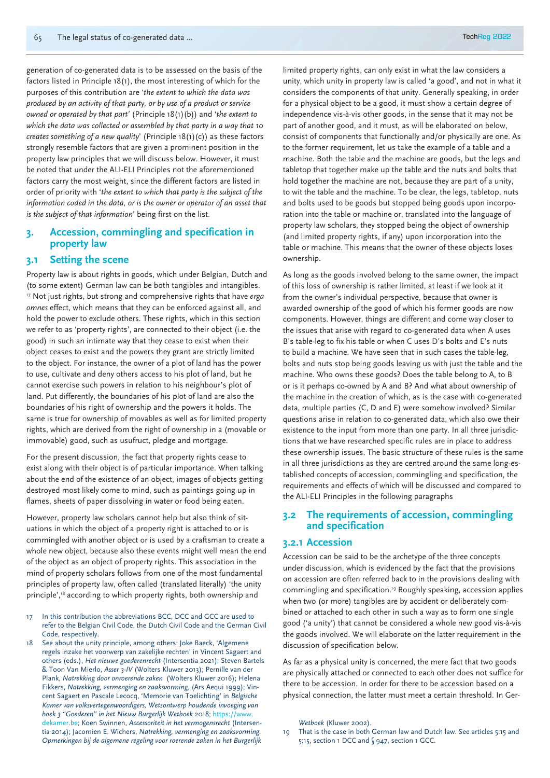generation of co-generated data is to be assessed on the basis of the factors listed in Principle 18(1), the most interesting of which for the purposes of this contribution are '*the extent to which the data was produced by an activity of that party, or by use of a product or service owned or operated by that part'* (Principle 18(1)(b)) and '*the extent to which the data was collected or assembled by that party in a way that 10 creates something of a new quality*' (Principle 18(1)(c)) as these factors strongly resemble factors that are given a prominent position in the property law principles that we will discuss below. However, it must be noted that under the ALI-ELI Principles not the aforementioned factors carry the most weight, since the different factors are listed in order of priority with '*the extent to which that party is the subject of the information coded in the data, or is the owner or operator of an asset that is the subject of that information*' being first on the list.

## **3. Accession, commingling and specification in property law**

## **3.1 Setting the scene**

Property law is about rights in goods, which under Belgian, Dutch and (to some extent) German law can be both tangibles and intangibles. 17 Not just rights, but strong and comprehensive rights that have *erga omnes* effect, which means that they can be enforced against all, and hold the power to exclude others. These rights, which in this section we refer to as 'property rights', are connected to their object (i.e. the good) in such an intimate way that they cease to exist when their object ceases to exist and the powers they grant are strictly limited to the object. For instance, the owner of a plot of land has the power to use, cultivate and deny others access to his plot of land, but he cannot exercise such powers in relation to his neighbour's plot of land. Put differently, the boundaries of his plot of land are also the boundaries of his right of ownership and the powers it holds. The same is true for ownership of movables as well as for limited property rights, which are derived from the right of ownership in a (movable or immovable) good, such as usufruct, pledge and mortgage.

For the present discussion, the fact that property rights cease to exist along with their object is of particular importance. When talking about the end of the existence of an object, images of objects getting destroyed most likely come to mind, such as paintings going up in flames, sheets of paper dissolving in water or food being eaten.

However, property law scholars cannot help but also think of situations in which the object of a property right is attached to or is commingled with another object or is used by a craftsman to create a whole new object, because also these events might well mean the end of the object as an object of property rights. This association in the mind of property scholars follows from one of the most fundamental principles of property law, often called (translated literally) 'the unity principle',<sup>18</sup> according to which property rights, both ownership and

- 17 In this contribution the abbreviations BCC, DCC and GCC are used to refer to the Belgian Civil Code, the Dutch Civil Code and the German Civil Code, respectively.
- 18 See about the unity principle, among others: Joke Baeck, 'Algemene regels inzake het voorwerp van zakelijke rechten' in Vincent Sagaert and others (eds.), *Het nieuwe goederenrecht* (Intersentia 2021); Steven Bartels & Toon Van Mierlo, *Asser 3-IV* (Wolters Kluwer 2013); Pernille van der Plank, *Natrekking door onroerende zaken* (Wolters Kluwer 2016); Helena Fikkers, *Natrekking, vermenging en zaaksvorming*, (Ars Aequi 1999); Vincent Sagaert en Pascale Lecocq, 'Memorie van Toelichting' in *Belgische Kamer van volksvertegenwoordigers, Wetsontwerp houdende invoeging van*  boek 3 "Goederen" in het Nieuw Burgerlijk Wetboek 2018; https:// dekamer.be; Koen Swinnen, *Accessoriteit in het vermogensrecht* (Intersentia 2014); Jacomien E. Wichers, *Natrekking, vermenging en zaaksvorming. Opmerkingen bij de algemene regeling voor roerende zaken in het Burgerlijk*

limited property rights, can only exist in what the law considers a unity, which unity in property law is called 'a good', and not in what it considers the components of that unity. Generally speaking, in order for a physical object to be a good, it must show a certain degree of independence vis-à-vis other goods, in the sense that it may not be part of another good, and it must, as will be elaborated on below, consist of components that functionally and/or physically are one. As to the former requirement, let us take the example of a table and a machine. Both the table and the machine are goods, but the legs and tabletop that together make up the table and the nuts and bolts that hold together the machine are not, because they are part of a unity, to wit the table and the machine. To be clear, the legs, tabletop, nuts and bolts used to be goods but stopped being goods upon incorporation into the table or machine or, translated into the language of property law scholars, they stopped being the object of ownership (and limited property rights, if any) upon incorporation into the table or machine. This means that the owner of these objects loses ownership.

As long as the goods involved belong to the same owner, the impact of this loss of ownership is rather limited, at least if we look at it from the owner's individual perspective, because that owner is awarded ownership of the good of which his former goods are now components. However, things are different and come way closer to the issues that arise with regard to co-generated data when A uses B's table-leg to fix his table or when C uses D's bolts and E's nuts to build a machine. We have seen that in such cases the table-leg, bolts and nuts stop being goods leaving us with just the table and the machine. Who owns these goods? Does the table belong to A, to B or is it perhaps co-owned by A and B? And what about ownership of the machine in the creation of which, as is the case with co-generated data, multiple parties (C, D and E) were somehow involved? Similar questions arise in relation to co-generated data, which also owe their existence to the input from more than one party. In all three jurisdictions that we have researched specific rules are in place to address these ownership issues. The basic structure of these rules is the same in all three jurisdictions as they are centred around the same long-established concepts of accession, commingling and specification, the requirements and effects of which will be discussed and compared to the ALI-ELI Principles in the following paragraphs

## **3.2 The requirements of accession, commingling and specification**

#### **3.2.1 Accession**

Accession can be said to be the archetype of the three concepts under discussion, which is evidenced by the fact that the provisions on accession are often referred back to in the provisions dealing with commingling and specification.19 Roughly speaking, accession applies when two (or more) tangibles are by accident or deliberately combined or attached to each other in such a way as to form one single good ('a unity') that cannot be considered a whole new good vis-à-vis the goods involved. We will elaborate on the latter requirement in the discussion of specification below.

As far as a physical unity is concerned, the mere fact that two goods are physically attached or connected to each other does not suffice for there to be accession. In order for there to be accession based on a physical connection, the latter must meet a certain threshold. In Ger-

*Wetboek* (Kluwer 2002).

19 That is the case in both German law and Dutch law. See articles 5:15 and 5:15, section 1 DCC and § 947, section 1 GCC.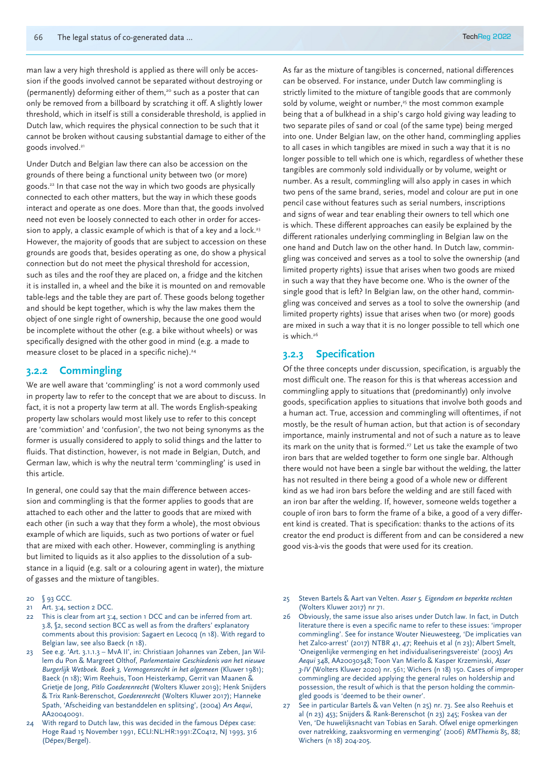man law a very high threshold is applied as there will only be accession if the goods involved cannot be separated without destroying or (permanently) deforming either of them,<sup>20</sup> such as a poster that can only be removed from a billboard by scratching it off. A slightly lower threshold, which in itself is still a considerable threshold, is applied in Dutch law, which requires the physical connection to be such that it cannot be broken without causing substantial damage to either of the goods involved.<sup>21</sup>

Under Dutch and Belgian law there can also be accession on the grounds of there being a functional unity between two (or more) goods.22 In that case not the way in which two goods are physically connected to each other matters, but the way in which these goods interact and operate as one does. More than that, the goods involved need not even be loosely connected to each other in order for accession to apply, a classic example of which is that of a key and a lock.<sup>23</sup> However, the majority of goods that are subject to accession on these grounds are goods that, besides operating as one, do show a physical connection but do not meet the physical threshold for accession, such as tiles and the roof they are placed on, a fridge and the kitchen it is installed in, a wheel and the bike it is mounted on and removable table-legs and the table they are part of. These goods belong together and should be kept together, which is why the law makes them the object of one single right of ownership, because the one good would be incomplete without the other (e.g. a bike without wheels) or was specifically designed with the other good in mind (e.g. a made to measure closet to be placed in a specific niche).<sup>24</sup>

## **3.2.2 Commingling**

We are well aware that 'commingling' is not a word commonly used in property law to refer to the concept that we are about to discuss. In fact, it is not a property law term at all. The words English-speaking property law scholars would most likely use to refer to this concept are 'commixtion' and 'confusion', the two not being synonyms as the former is usually considered to apply to solid things and the latter to fluids. That distinction, however, is not made in Belgian, Dutch, and German law, which is why the neutral term 'commingling' is used in this article.

In general, one could say that the main difference between accession and commingling is that the former applies to goods that are attached to each other and the latter to goods that are mixed with each other (in such a way that they form a whole), the most obvious example of which are liquids, such as two portions of water or fuel that are mixed with each other. However, commingling is anything but limited to liquids as it also applies to the dissolution of a substance in a liquid (e.g. salt or a colouring agent in water), the mixture of gasses and the mixture of tangibles.

- 20 § 93 GCC.
- 21 Art. 3:4, section 2 DCC.
- 22 This is clear from art 3:4, section 1 DCC and can be inferred from art. 3.8, §2, second section BCC as well as from the drafters' explanatory comments about this provision: Sagaert en Lecocq (n 18). With regard to Belgian law, see also Baeck (n 18).
- 23 See e.g. 'Art. 3.1.1.3 MvA II', in: Christiaan Johannes van Zeben, Jan Willem du Pon & Margreet Olthof, *Parlementaire Geschiedenis van het nieuwe Burgerlijk Wetboek. Boek 3, Vermogensrecht in het algemeen* (Kluwer 1981); Baeck (n 18); Wim Reehuis, Toon Heisterkamp, Gerrit van Maanen & Grietje de Jong, *Pitlo Goederenrecht* (Wolters Kluwer 2019); Henk Snijders & Trix Rank-Berenschot, *Goederenrecht* (Wolters Kluwer 2017); Hanneke Spath, 'Afscheiding van bestanddelen en splitsing', (2004) *Ars Aequi*, AA20040091.
- With regard to Dutch law, this was decided in the famous Dépex case: Hoge Raad 15 November 1991, ECLI:NL:HR:1991:ZC0412, NJ 1993, 316 (Dépex/Bergel).

As far as the mixture of tangibles is concerned, national differences can be observed. For instance, under Dutch law commingling is strictly limited to the mixture of tangible goods that are commonly sold by volume, weight or number,<sup>25</sup> the most common example being that a of bulkhead in a ship's cargo hold giving way leading to two separate piles of sand or coal (of the same type) being merged into one. Under Belgian law, on the other hand, commingling applies to all cases in which tangibles are mixed in such a way that it is no longer possible to tell which one is which, regardless of whether these tangibles are commonly sold individually or by volume, weight or number. As a result, commingling will also apply in cases in which two pens of the same brand, series, model and colour are put in one pencil case without features such as serial numbers, inscriptions and signs of wear and tear enabling their owners to tell which one is which. These different approaches can easily be explained by the different rationales underlying commingling in Belgian law on the one hand and Dutch law on the other hand. In Dutch law, commingling was conceived and serves as a tool to solve the ownership (and limited property rights) issue that arises when two goods are mixed in such a way that they have become one. Who is the owner of the single good that is left? In Belgian law, on the other hand, commingling was conceived and serves as a tool to solve the ownership (and limited property rights) issue that arises when two (or more) goods are mixed in such a way that it is no longer possible to tell which one is which.<sup>26</sup>

### **3.2.3 Specification**

Of the three concepts under discussion, specification, is arguably the most difficult one. The reason for this is that whereas accession and commingling apply to situations that (predominantly) only involve goods, specification applies to situations that involve both goods and a human act. True, accession and commingling will oftentimes, if not mostly, be the result of human action, but that action is of secondary importance, mainly instrumental and not of such a nature as to leave its mark on the unity that is formed.<sup>27</sup> Let us take the example of two iron bars that are welded together to form one single bar. Although there would not have been a single bar without the welding, the latter has not resulted in there being a good of a whole new or different kind as we had iron bars before the welding and are still faced with an iron bar after the welding. If, however, someone welds together a couple of iron bars to form the frame of a bike, a good of a very different kind is created. That is specification: thanks to the actions of its creator the end product is different from and can be considered a new good vis-à-vis the goods that were used for its creation.

- 25 Steven Bartels & Aart van Velten. *Asser 5. Eigendom en beperkte rechten* (Wolters Kluwer 2017) nr 71.
- 26 Obviously, the same issue also arises under Dutch law. In fact, in Dutch literature there is even a specific name to refer to these issues: 'improper commingling'. See for instance Wouter Nieuwesteeg, 'De implicaties van het Zalco-arrest' (2017) NTBR 41, 47; Reehuis et al (n 23); Albert Smelt, 'Oneigenlijke vermenging en het individualiseringsvereiste' (2003) *Ars Aequi* 348, AA20030348; Toon Van Mierlo & Kasper Krzeminski, *Asser 3-IV* (Wolters Kluwer 2020) nr. 561; Wichers (n 18) 150. Cases of improper commingling are decided applying the general rules on holdership and possession, the result of which is that the person holding the commingled goods is 'deemed to be their owner'.
- 27 See in particular Bartels & van Velten (n 25) nr. 73. See also Reehuis et al (n 23) 453; Snijders & Rank-Berenschot (n 23) 245; Foskea van der Ven, 'De huwelijksnacht van Tobias en Sarah. Ofwel enige opmerkingen over natrekking, zaaksvorming en vermenging' (2006) *RMThemis* 85, 88; Wichers (n 18) 204-205.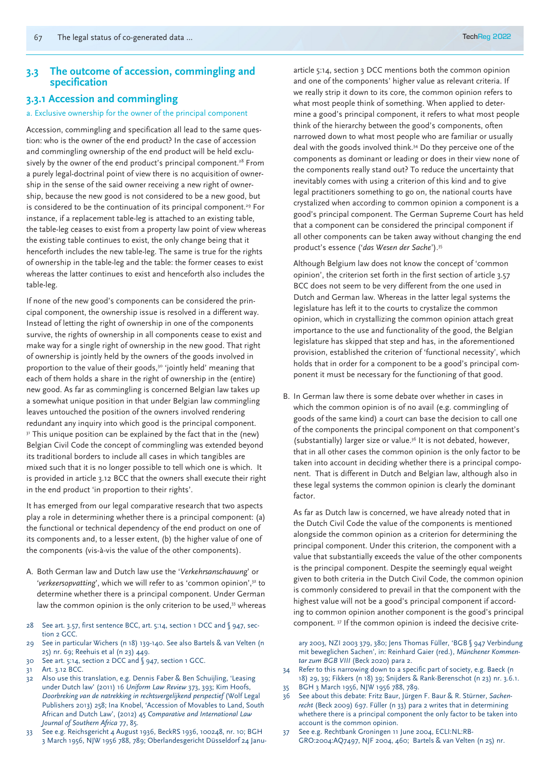## **3.3 The outcome of accession, commingling and specification**

### **3.3.1 Accession and commingling**

#### a. Exclusive ownership for the owner of the principal component

Accession, commingling and specification all lead to the same question: who is the owner of the end product? In the case of accession and commingling ownership of the end product will be held exclusively by the owner of the end product's principal component.<sup>28</sup> From a purely legal-doctrinal point of view there is no acquisition of ownership in the sense of the said owner receiving a new right of ownership, because the new good is not considered to be a new good, but is considered to be the continuation of its principal component.<sup>29</sup> For instance, if a replacement table-leg is attached to an existing table, the table-leg ceases to exist from a property law point of view whereas the existing table continues to exist, the only change being that it henceforth includes the new table-leg. The same is true for the rights of ownership in the table-leg and the table: the former ceases to exist whereas the latter continues to exist and henceforth also includes the table-leg.

If none of the new good's components can be considered the principal component, the ownership issue is resolved in a different way. Instead of letting the right of ownership in one of the components survive, the rights of ownership in all components cease to exist and make way for a single right of ownership in the new good. That right of ownership is jointly held by the owners of the goods involved in proportion to the value of their goods,<sup>30</sup> 'jointly held' meaning that each of them holds a share in the right of ownership in the (entire) new good. As far as commingling is concerned Belgian law takes up a somewhat unique position in that under Belgian law commingling leaves untouched the position of the owners involved rendering redundant any inquiry into which good is the principal component. <sup>31</sup> This unique position can be explained by the fact that in the (new) Belgian Civil Code the concept of commingling was extended beyond its traditional borders to include all cases in which tangibles are mixed such that it is no longer possible to tell which one is which. It is provided in article 3.12 BCC that the owners shall execute their right in the end product 'in proportion to their rights'.

It has emerged from our legal comparative research that two aspects play a role in determining whether there is a principal component: (a) the functional or technical dependency of the end product on one of its components and, to a lesser extent, (b) the higher value of one of the components (vis-à-vis the value of the other components).

- A. Both German law and Dutch law use the '*Verkehrsanschauung*' or '*verkeersopvatting*', which we will refer to as 'common opinion',32 to determine whether there is a principal component. Under German law the common opinion is the only criterion to be used,<sup>33</sup> whereas
- 28 See art. 3.57, first sentence BCC, art. 5:14, section 1 DCC and § 947, section 2 GCC.
- 29 See in particular Wichers (n 18) 139-140. See also Bartels & van Velten (n 25) nr. 69; Reehuis et al (n 23) 449.
- 30 See art. 5:14, section 2 DCC and § 947, section 1 GCC.
- 31 Art. 3.12 BCC.
- 32 Also use this translation, e.g. Dennis Faber & Ben Schuijling, 'Leasing under Dutch law' (2011) 16 *Uniform Law Review* 373, 393; Kim Hoofs, *Doorbreking van de natrekking in rechtsvergelijkend perspectief* (Wolf Legal Publishers 2013) 258; Ina Knobel, 'Accession of Movables to Land, South African and Dutch Law', (2012) 45 *Comparative and International Law Journal of Southern Africa* 77, 85.
- 33 See e.g. Reichsgericht 4 August 1936, BeckRS 1936, 100248, nr. 10; BGH 3 March 1956, NJW 1956 788, 789; Oberlandesgericht Düsseldorf 24 Janu-

article 5:14, section 3 DCC mentions both the common opinion and one of the components' higher value as relevant criteria. If we really strip it down to its core, the common opinion refers to what most people think of something. When applied to determine a good's principal component, it refers to what most people think of the hierarchy between the good's components, often narrowed down to what most people who are familiar or usually deal with the goods involved think.34 Do they perceive one of the components as dominant or leading or does in their view none of the components really stand out? To reduce the uncertainty that inevitably comes with using a criterion of this kind and to give legal practitioners something to go on, the national courts have crystalized when according to common opinion a component is a good's principal component. The German Supreme Court has held that a component can be considered the principal component if all other components can be taken away without changing the end product's essence ('*das Wesen der Sache*').35

Although Belgium law does not know the concept of 'common opinion', the criterion set forth in the first section of article 3.57 BCC does not seem to be very different from the one used in Dutch and German law. Whereas in the latter legal systems the legislature has left it to the courts to crystalize the common opinion, which in crystallizing the common opinion attach great importance to the use and functionality of the good, the Belgian legislature has skipped that step and has, in the aforementioned provision, established the criterion of 'functional necessity', which holds that in order for a component to be a good's principal component it must be necessary for the functioning of that good.

B. In German law there is some debate over whether in cases in which the common opinion is of no avail (e.g. commingling of goods of the same kind) a court can base the decision to call one of the components the principal component on that component's (substantially) larger size or value.36 It is not debated, however, that in all other cases the common opinion is the only factor to be taken into account in deciding whether there is a principal component. That is different in Dutch and Belgian law, although also in these legal systems the common opinion is clearly the dominant factor.

As far as Dutch law is concerned, we have already noted that in the Dutch Civil Code the value of the components is mentioned alongside the common opinion as a criterion for determining the principal component. Under this criterion, the component with a value that substantially exceeds the value of the other components is the principal component. Despite the seemingly equal weight given to both criteria in the Dutch Civil Code, the common opinion is commonly considered to prevail in that the component with the highest value will not be a good's principal component if according to common opinion another component is the good's principal component. 37 If the common opinion is indeed the decisive crite-

ary 2003, NZI 2003 379, 380; Jens Thomas Füller, 'BGB § 947 Verbindung mit beweglichen Sachen', in: Reinhard Gaier (red.), *Münchener Kommentar zum BGB VIII* (Beck 2020) para 2.

- 34 Refer to this narrowing down to a specific part of society, e.g. Baeck (n 18) 29, 39; Fikkers (n 18) 39; Snijders & Rank-Berenschot (n 23) nr. 3.6.1. 35 BGH 3 March 1956, NJW 1956 788, 789.
- 36 See about this debate: Fritz Baur, Jürgen F. Baur & R. Stürner, *Sachenrecht* (Beck 2009) 697. Füller (n 33) para 2 writes that in determining whethere there is a principal component the only factor to be taken into account is the common opinion.
- 37 See e.g. Rechtbank Groningen 11 June 2004, ECLI:NL:RB-GRO:2004:AQ7497, NJF 2004, 460; Bartels & van Velten (n 25) nr.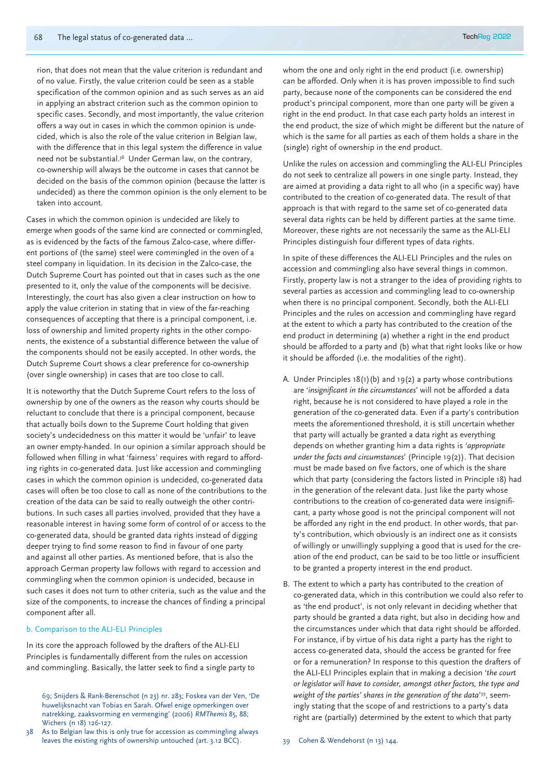rion, that does not mean that the value criterion is redundant and of no value. Firstly, the value criterion could be seen as a stable specification of the common opinion and as such serves as an aid in applying an abstract criterion such as the common opinion to specific cases. Secondly, and most importantly, the value criterion offers a way out in cases in which the common opinion is undecided, which is also the role of the value criterion in Belgian law, with the difference that in this legal system the difference in value need not be substantial.38 Under German law, on the contrary, co-ownership will always be the outcome in cases that cannot be decided on the basis of the common opinion (because the latter is undecided) as there the common opinion is the only element to be taken into account.

Cases in which the common opinion is undecided are likely to emerge when goods of the same kind are connected or commingled, as is evidenced by the facts of the famous Zalco-case, where different portions of (the same) steel were commingled in the oven of a steel company in liquidation. In its decision in the Zalco-case, the Dutch Supreme Court has pointed out that in cases such as the one presented to it, only the value of the components will be decisive. Interestingly, the court has also given a clear instruction on how to apply the value criterion in stating that in view of the far-reaching consequences of accepting that there is a principal component, i.e. loss of ownership and limited property rights in the other components, the existence of a substantial difference between the value of the components should not be easily accepted. In other words, the Dutch Supreme Court shows a clear preference for co-ownership (over single ownership) in cases that are too close to call.

It is noteworthy that the Dutch Supreme Court refers to the loss of ownership by one of the owners as the reason why courts should be reluctant to conclude that there is a principal component, because that actually boils down to the Supreme Court holding that given society's undecidedness on this matter it would be 'unfair' to leave an owner empty-handed. In our opinion a similar approach should be followed when filling in what 'fairness' requires with regard to affording rights in co-generated data. Just like accession and commingling cases in which the common opinion is undecided, co-generated data cases will often be too close to call as none of the contributions to the creation of the data can be said to really outweigh the other contributions. In such cases all parties involved, provided that they have a reasonable interest in having some form of control of or access to the co-generated data, should be granted data rights instead of digging deeper trying to find some reason to find in favour of one party and against all other parties. As mentioned before, that is also the approach German property law follows with regard to accession and commingling when the common opinion is undecided, because in such cases it does not turn to other criteria, such as the value and the size of the components, to increase the chances of finding a principal component after all.

#### b. Comparison to the ALI-ELI Principles

In its core the approach followed by the drafters of the ALI-ELI Principles is fundamentally different from the rules on accession and commingling. Basically, the latter seek to find a single party to

As to Belgian law this is only true for accession as commingling always leaves the existing rights of ownership untouched (art. 3.12 BCC).

whom the one and only right in the end product (i.e. ownership) can be afforded. Only when it is has proven impossible to find such party, because none of the components can be considered the end product's principal component, more than one party will be given a right in the end product. In that case each party holds an interest in the end product, the size of which might be different but the nature of which is the same for all parties as each of them holds a share in the (single) right of ownership in the end product.

Unlike the rules on accession and commingling the ALI-ELI Principles do not seek to centralize all powers in one single party. Instead, they are aimed at providing a data right to all who (in a specific way) have contributed to the creation of co-generated data. The result of that approach is that with regard to the same set of co-generated data several data rights can be held by different parties at the same time. Moreover, these rights are not necessarily the same as the ALI-ELI Principles distinguish four different types of data rights.

In spite of these differences the ALI-ELI Principles and the rules on accession and commingling also have several things in common. Firstly, property law is not a stranger to the idea of providing rights to several parties as accession and commingling lead to co-ownership when there is no principal component. Secondly, both the ALI-ELI Principles and the rules on accession and commingling have regard at the extent to which a party has contributed to the creation of the end product in determining (a) whether a right in the end product should be afforded to a party and (b) what that right looks like or how it should be afforded (i.e. the modalities of the right).

- A. Under Principles 18(1)(b) and 19(2) a party whose contributions are '*insignificant in the circumstances*' will not be afforded a data right, because he is not considered to have played a role in the generation of the co-generated data. Even if a party's contribution meets the aforementioned threshold, it is still uncertain whether that party will actually be granted a data right as everything depends on whether granting him a data rights is '*appropriate under the facts and circumstances*' (Principle 19(2)). That decision must be made based on five factors, one of which is the share which that party (considering the factors listed in Principle 18) had in the generation of the relevant data. Just like the party whose contributions to the creation of co-generated data were insignificant, a party whose good is not the principal component will not be afforded any right in the end product. In other words, that party's contribution, which obviously is an indirect one as it consists of willingly or unwillingly supplying a good that is used for the creation of the end product, can be said to be too little or insufficient to be granted a property interest in the end product.
- B. The extent to which a party has contributed to the creation of co-generated data, which in this contribution we could also refer to as 'the end product', is not only relevant in deciding whether that party should be granted a data right, but also in deciding how and the circumstances under which that data right should be afforded. For instance, if by virtue of his data right a party has the right to access co-generated data, should the access be granted for free or for a remuneration? In response to this question the drafters of the ALI-ELI Principles explain that in making a decision '*the court or legislator will have to consider, amongst other factors, the type and weight of the parties' shares in the generation of the data*' 39, seemingly stating that the scope of and restrictions to a party's data right are (partially) determined by the extent to which that party

<sup>69;</sup> Snijders & Rank-Berenschot (n 23) nr. 283; Foskea van der Ven, 'De huwelijksnacht van Tobias en Sarah. Ofwel enige opmerkingen over natrekking, zaaksvorming en vermenging' (2006) *RMThemis* 85, 88; Wichers (n 18) 126-127.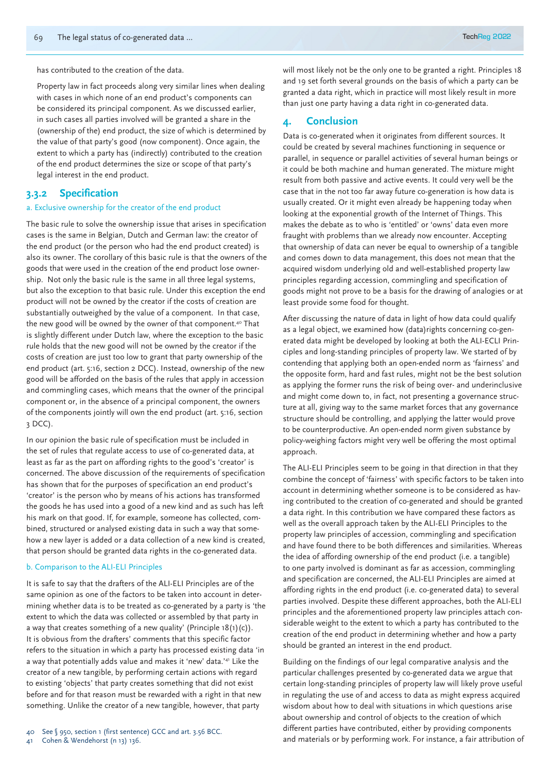has contributed to the creation of the data.

Property law in fact proceeds along very similar lines when dealing with cases in which none of an end product's components can be considered its principal component. As we discussed earlier, in such cases all parties involved will be granted a share in the (ownership of the) end product, the size of which is determined by the value of that party's good (now component). Once again, the extent to which a party has (indirectly) contributed to the creation of the end product determines the size or scope of that party's legal interest in the end product.

#### **3.3.2 Specification**

#### a. Exclusive ownership for the creator of the end product

The basic rule to solve the ownership issue that arises in specification cases is the same in Belgian, Dutch and German law: the creator of the end product (or the person who had the end product created) is also its owner. The corollary of this basic rule is that the owners of the goods that were used in the creation of the end product lose ownership. Not only the basic rule is the same in all three legal systems, but also the exception to that basic rule. Under this exception the end product will not be owned by the creator if the costs of creation are substantially outweighed by the value of a component. In that case, the new good will be owned by the owner of that component.40 That is slightly different under Dutch law, where the exception to the basic rule holds that the new good will not be owned by the creator if the costs of creation are just too low to grant that party ownership of the end product (art. 5:16, section 2 DCC). Instead, ownership of the new good will be afforded on the basis of the rules that apply in accession and commingling cases, which means that the owner of the principal component or, in the absence of a principal component, the owners of the components jointly will own the end product (art. 5:16, section 3 DCC).

In our opinion the basic rule of specification must be included in the set of rules that regulate access to use of co-generated data, at least as far as the part on affording rights to the good's 'creator' is concerned. The above discussion of the requirements of specification has shown that for the purposes of specification an end product's 'creator' is the person who by means of his actions has transformed the goods he has used into a good of a new kind and as such has left his mark on that good. If, for example, someone has collected, combined, structured or analysed existing data in such a way that somehow a new layer is added or a data collection of a new kind is created, that person should be granted data rights in the co-generated data.

#### b. Comparison to the ALI-ELI Principles

It is safe to say that the drafters of the ALI-ELI Principles are of the same opinion as one of the factors to be taken into account in determining whether data is to be treated as co-generated by a party is 'the extent to which the data was collected or assembled by that party in a way that creates something of a new quality' (Principle 18(1)(c)). It is obvious from the drafters' comments that this specific factor refers to the situation in which a party has processed existing data 'in a way that potentially adds value and makes it 'new' data.'41 Like the creator of a new tangible, by performing certain actions with regard to existing 'objects' that party creates something that did not exist before and for that reason must be rewarded with a right in that new something. Unlike the creator of a new tangible, however, that party

Cohen & Wendehorst (n 13) 136.

will most likely not be the only one to be granted a right. Principles 18 and 19 set forth several grounds on the basis of which a party can be granted a data right, which in practice will most likely result in more than just one party having a data right in co-generated data.

#### **4. Conclusion**

Data is co-generated when it originates from different sources. It could be created by several machines functioning in sequence or parallel, in sequence or parallel activities of several human beings or it could be both machine and human generated. The mixture might result from both passive and active events. It could very well be the case that in the not too far away future co-generation is how data is usually created. Or it might even already be happening today when looking at the exponential growth of the Internet of Things. This makes the debate as to who is 'entitled' or 'owns' data even more fraught with problems than we already now encounter. Accepting that ownership of data can never be equal to ownership of a tangible and comes down to data management, this does not mean that the acquired wisdom underlying old and well-established property law principles regarding accession, commingling and specification of goods might not prove to be a basis for the drawing of analogies or at least provide some food for thought.

After discussing the nature of data in light of how data could qualify as a legal object, we examined how (data)rights concerning co-generated data might be developed by looking at both the ALI-ECLI Principles and long-standing principles of property law. We started of by contending that applying both an open-ended norm as 'fairness' and the opposite form, hard and fast rules, might not be the best solution as applying the former runs the risk of being over- and underinclusive and might come down to, in fact, not presenting a governance structure at all, giving way to the same market forces that any governance structure should be controlling, and applying the latter would prove to be counterproductive. An open-ended norm given substance by policy-weighing factors might very well be offering the most optimal approach.

The ALI-ELI Principles seem to be going in that direction in that they combine the concept of 'fairness' with specific factors to be taken into account in determining whether someone is to be considered as having contributed to the creation of co-generated and should be granted a data right. In this contribution we have compared these factors as well as the overall approach taken by the ALI-ELI Principles to the property law principles of accession, commingling and specification and have found there to be both differences and similarities. Whereas the idea of affording ownership of the end product (i.e. a tangible) to one party involved is dominant as far as accession, commingling and specification are concerned, the ALI-ELI Principles are aimed at affording rights in the end product (i.e. co-generated data) to several parties involved. Despite these different approaches, both the ALI-ELI principles and the aforementioned property law principles attach considerable weight to the extent to which a party has contributed to the creation of the end product in determining whether and how a party should be granted an interest in the end product.

Building on the findings of our legal comparative analysis and the particular challenges presented by co-generated data we argue that certain long-standing principles of property law will likely prove useful in regulating the use of and access to data as might express acquired wisdom about how to deal with situations in which questions arise about ownership and control of objects to the creation of which different parties have contributed, either by providing components and materials or by performing work. For instance, a fair attribution of

<sup>40</sup> See § 950, section 1 (first sentence) GCC and art. 3.56 BCC.